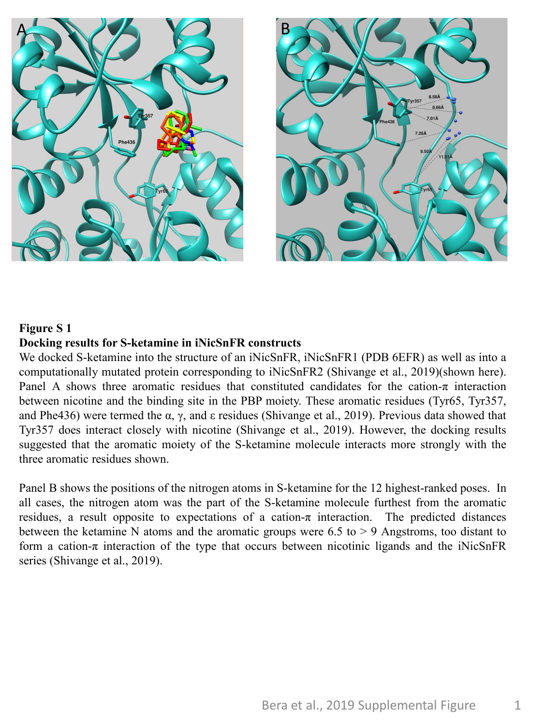

## **Figure S 1 Docking results for S-ketamine in iNicSnFR constructs**

We docked S-ketamine into the structure of an iNicSnFR, iNicSnFR1 (PDB 6EFR) as well as into a computationally mutated protein corresponding to iNicSnFR2 (Shivange et al., 2019)(shown here). Panel A shows three aromatic residues that constituted candidates for the cation- $\pi$  interaction between nicotine and the binding site in the PBP moiety. These aromatic residues (Tyr65, Tyr357, and Phe436) were termed the  $\alpha$ ,  $\gamma$ , and  $\epsilon$  residues (Shivange et al., 2019). Previous data showed that Tyr357 does interact closely with nicotine (Shivange et al., 2019). However, the docking results suggested that the aromatic moiety of the S-ketamine molecule interacts more strongly with the three aromatic residues shown.

Panel B shows the positions of the nitrogen atoms in S-ketamine for the 12 highest-ranked poses. In all cases, the nitrogen atom was the part of the S-ketamine molecule furthest from the aromatic residues, a result opposite to expectations of a cation- $\pi$  interaction. The predicted distances between the ketamine N atoms and the aromatic groups were  $6.5$  to  $> 9$  Angstroms, too distant to form a cation- $\pi$  interaction of the type that occurs between nicotinic ligands and the iNicSnFR series (Shivange et al., 2019).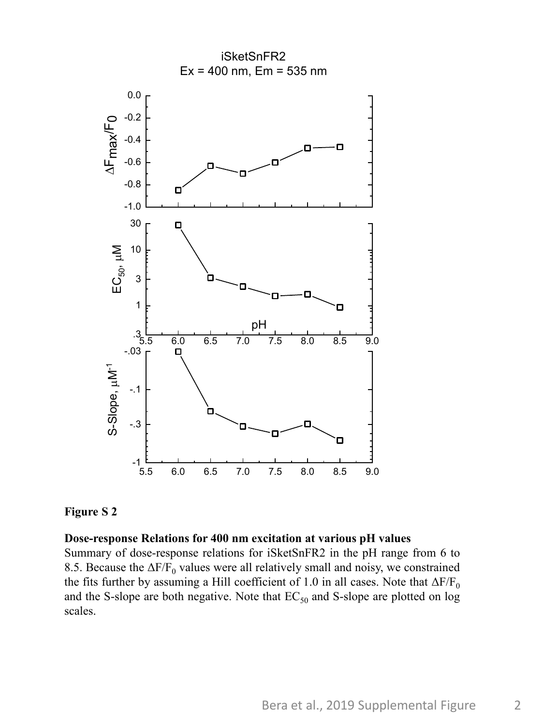

**Figure S 2**

## **Dose-response Relations for 400 nm excitation at various pH values**

Summary of dose-response relations for iSketSnFR2 in the pH range from 6 to 8.5. Because the  $\Delta F/F_0$  values were all relatively small and noisy, we constrained the fits further by assuming a Hill coefficient of 1.0 in all cases. Note that  $\Delta F/F_0$ and the S-slope are both negative. Note that  $EC_{50}$  and S-slope are plotted on log scales.